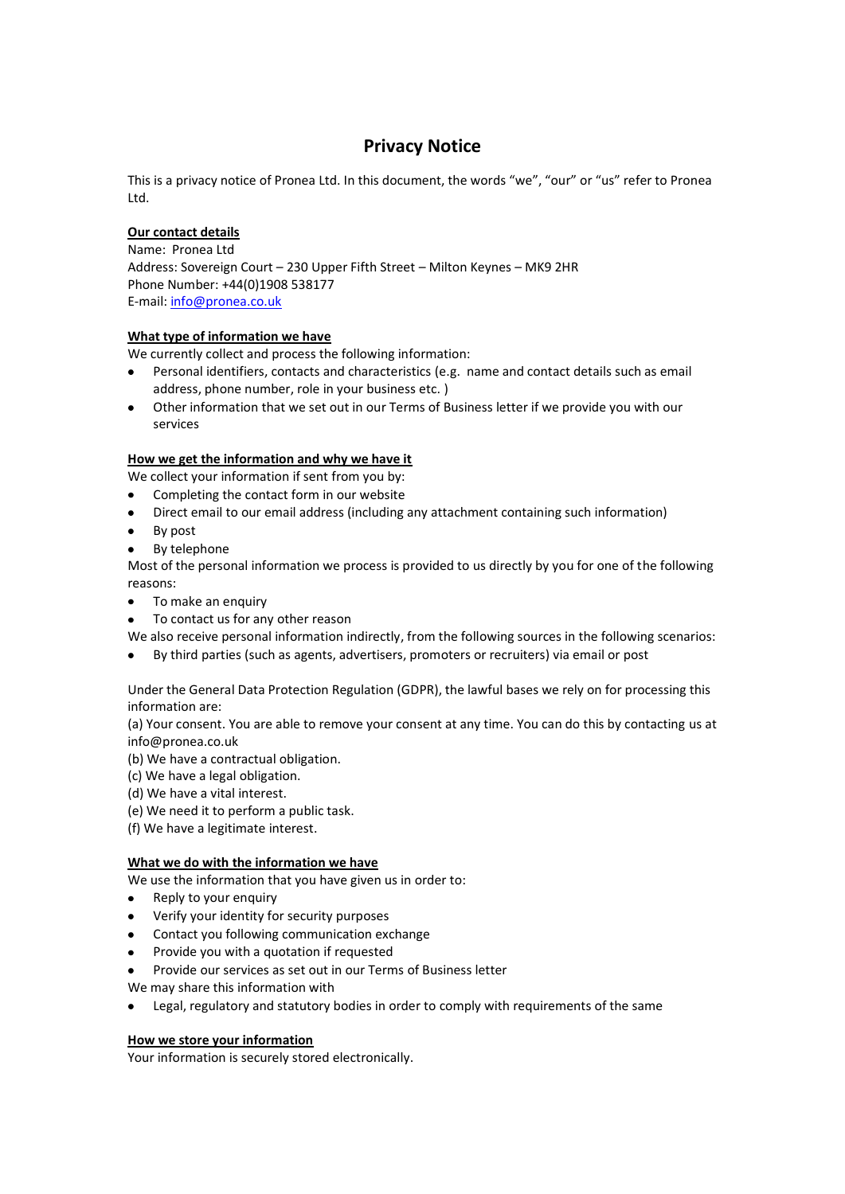# **Privacy Notice**

This is a privacy notice of Pronea Ltd. In this document, the words "we", "our" or "us" refer to Pronea Ltd.

# **Our contact details**

Name: Pronea Ltd Address: Sovereign Court – 230 Upper Fifth Street – Milton Keynes – MK9 2HR Phone Number: +44(0)1908 538177 E-mail: [info@pronea.co.uk](mailto:info@pronea.co.uk)

# **What type of information we have**

We currently collect and process the following information:

- Personal identifiers, contacts and characteristics (e.g. name and contact details such as email address, phone number, role in your business etc. )
- Other information that we set out in our Terms of Business letter if we provide you with our  $\bullet$ services

# **How we get the information and why we have it**

We collect your information if sent from you by:

- Completing the contact form in our website
- Direct email to our email address (including any attachment containing such information)  $\bullet$
- By post
- By telephone

Most of the personal information we process is provided to us directly by you for one of the following reasons:

- To make an enquiry
- To contact us for any other reason

We also receive personal information indirectly, from the following sources in the following scenarios:

By third parties (such as agents, advertisers, promoters or recruiters) via email or post

Under the General Data Protection Regulation (GDPR), the lawful bases we rely on for processing this information are:

(a) Your consent. You are able to remove your consent at any time. You can do this by contacting us at info@pronea.co.uk

- (b) We have a contractual obligation.
- (c) We have a legal obligation.

(d) We have a vital interest.

- (e) We need it to perform a public task.
- (f) We have a legitimate interest.

### **What we do with the information we have**

We use the information that you have given us in order to:

- Reply to your enquiry  $\bullet$
- $\bullet$ Verify your identity for security purposes
- Contact you following communication exchange
- Provide you with a quotation if requested
- Provide our services as set out in our Terms of Business letter
- We may share this information with
- Legal, regulatory and statutory bodies in order to comply with requirements of the same

# **How we store your information**

Your information is securely stored electronically.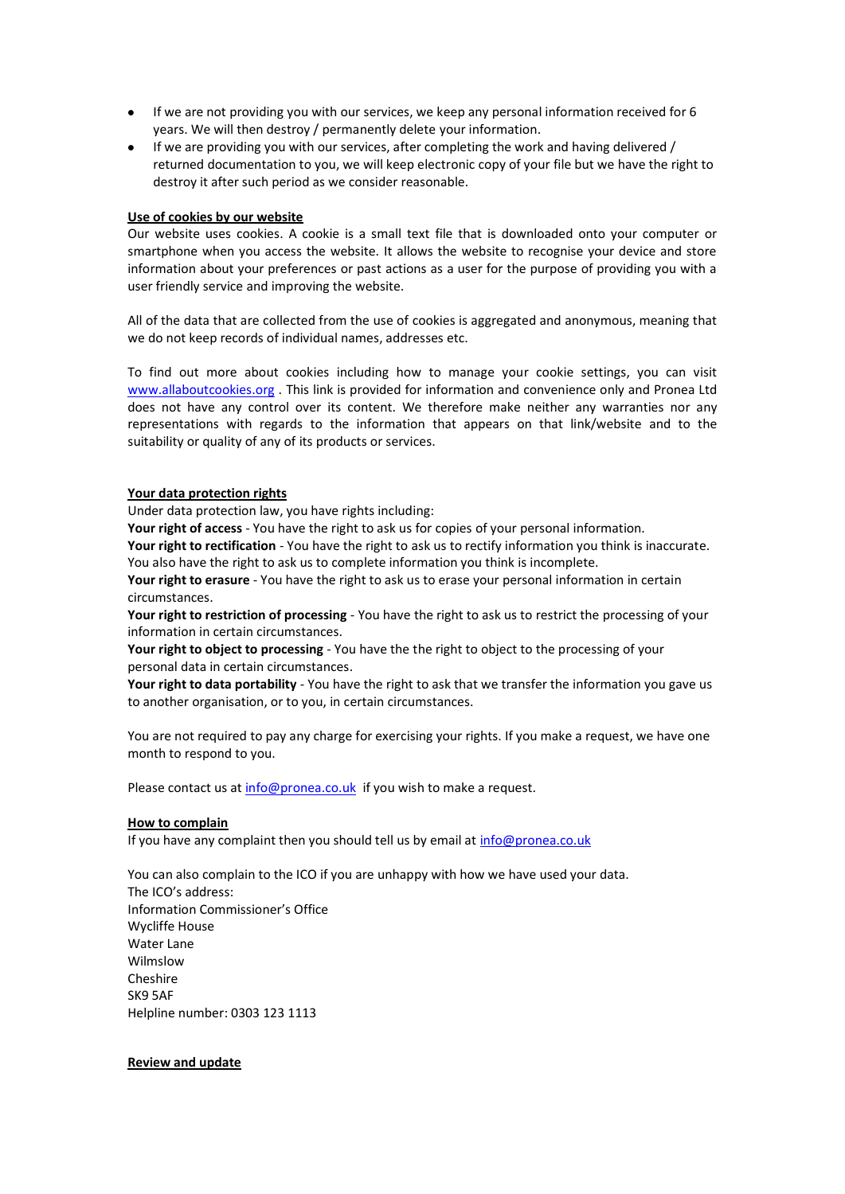- If we are not providing you with our services, we keep any personal information received for 6 years. We will then destroy / permanently delete your information.
- If we are providing you with our services, after completing the work and having delivered / returned documentation to you, we will keep electronic copy of your file but we have the right to destroy it after such period as we consider reasonable.

#### **Use of cookies by our website**

Our website uses cookies. A cookie is a small text file that is downloaded onto your computer or smartphone when you access the website. It allows the website to recognise your device and store information about your preferences or past actions as a user for the purpose of providing you with a user friendly service and improving the website.

All of the data that are collected from the use of cookies is aggregated and anonymous, meaning that we do not keep records of individual names, addresses etc.

To find out more about cookies including how to manage your cookie settings, you can visit [www.allaboutcookies.org](http://www.allaboutcookies.org/) . This link is provided for information and convenience only and Pronea Ltd does not have any control over its content. We therefore make neither any warranties nor any representations with regards to the information that appears on that link/website and to the suitability or quality of any of its products or services.

#### **Your data protection rights**

Under data protection law, you have rights including:

**Your right of access** - You have the right to ask us for copies of your personal information.

**Your right to rectification** - You have the right to ask us to rectify information you think is inaccurate. You also have the right to ask us to complete information you think is incomplete.

**Your right to erasure** - You have the right to ask us to erase your personal information in certain circumstances.

**Your right to restriction of processing** - You have the right to ask us to restrict the processing of your information in certain circumstances.

**Your right to object to processing** - You have the the right to object to the processing of your personal data in certain circumstances.

**Your right to data portability** - You have the right to ask that we transfer the information you gave us to another organisation, or to you, in certain circumstances.

You are not required to pay any charge for exercising your rights. If you make a request, we have one month to respond to you.

Please contact us at [info@pronea.co.uk](mailto:info@pronea.co.uk) if you wish to make a request.

#### **How to complain**

If you have any complaint then you should tell us by email at [info@pronea.co.uk](mailto:info@pronea.co.uk)

You can also complain to the ICO if you are unhappy with how we have used your data. The ICO's address: Information Commissioner's Office Wycliffe House Water Lane Wilmslow Cheshire SK9 5AF Helpline number: 0303 123 1113

#### **Review and update**